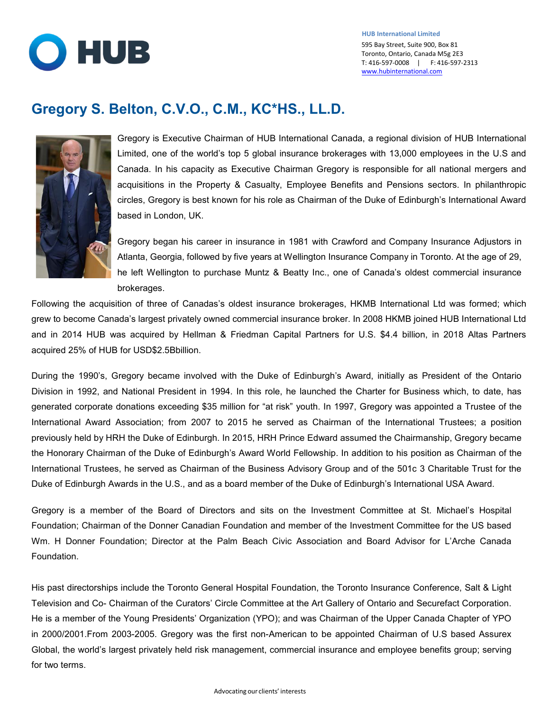

## **Gregory S. Belton, C.V.O., C.M., KC\*HS., LL.D.**



Gregory is Executive Chairman of HUB International Canada, a regional division of HUB International Limited, one of the world's top 5 global insurance brokerages with 13,000 employees in the U.S and Canada. In his capacity as Executive Chairman Gregory is responsible for all national mergers and acquisitions in the Property & Casualty, Employee Benefits and Pensions sectors. In philanthropic circles, Gregory is best known for his role as Chairman of the Duke of Edinburgh's International Award based in London, UK.

Gregory began his career in insurance in 1981 with Crawford and Company Insurance Adjustors in Atlanta, Georgia, followed by five years at Wellington Insurance Company in Toronto. At the age of 29, he left Wellington to purchase Muntz & Beatty Inc., one of Canada's oldest commercial insurance brokerages.

Following the acquisition of three of Canadas's oldest insurance brokerages, HKMB International Ltd was formed; which grew to become Canada's largest privately owned commercial insurance broker. In 2008 HKMB joined HUB International Ltd and in 2014 HUB was acquired by Hellman & Friedman Capital Partners for U.S. \$4.4 billion, in 2018 Altas Partners acquired 25% of HUB for USD\$2.5Bbillion.

During the 1990's, Gregory became involved with the Duke of Edinburgh's Award, initially as President of the Ontario Division in 1992, and National President in 1994. In this role, he launched the Charter for Business which, to date, has generated corporate donations exceeding \$35 million for "at risk" youth. In 1997, Gregory was appointed a Trustee of the International Award Association; from 2007 to 2015 he served as Chairman of the International Trustees; a position previously held by HRH the Duke of Edinburgh. In 2015, HRH Prince Edward assumed the Chairmanship, Gregory became the Honorary Chairman of the Duke of Edinburgh's Award World Fellowship. In addition to his position as Chairman of the International Trustees, he served as Chairman of the Business Advisory Group and of the 501c 3 Charitable Trust for the Duke of Edinburgh Awards in the U.S., and as a board member of the Duke of Edinburgh's International USA Award.

Gregory is a member of the Board of Directors and sits on the Investment Committee at St. Michael's Hospital Foundation; Chairman of the Donner Canadian Foundation and member of the Investment Committee for the US based Wm. H Donner Foundation; Director at the Palm Beach Civic Association and Board Advisor for L'Arche Canada Foundation.

His past directorships include the Toronto General Hospital Foundation, the Toronto Insurance Conference, Salt & Light Television and Co- Chairman of the Curators' Circle Committee at the Art Gallery of Ontario and Securefact Corporation. He is a member of the Young Presidents' Organization (YPO); and was Chairman of the Upper Canada Chapter of YPO in 2000/2001.From 2003-2005. Gregory was the first non-American to be appointed Chairman of U.S based Assurex Global, the world's largest privately held risk management, commercial insurance and employee benefits group; serving for two terms.